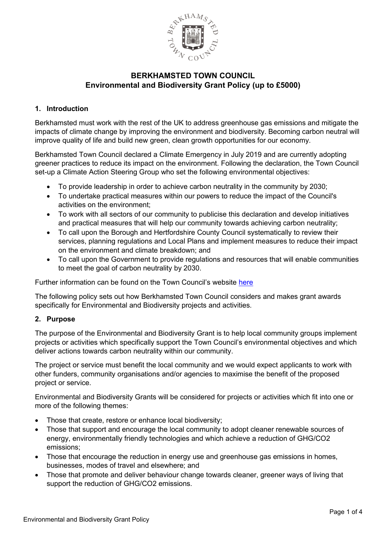

### **1. Introduction**

Berkhamsted must work with the rest of the UK to address greenhouse gas emissions and mitigate the impacts of climate change by improving the environment and biodiversity. Becoming carbon neutral will improve quality of life and build new green, clean growth opportunities for our economy.

Berkhamsted Town Council declared a Climate Emergency in July 2019 and are currently adopting greener practices to reduce its impact on the environment. Following the declaration, the Town Council set-up a Climate Action Steering Group who set the following environmental objectives:

- To provide leadership in order to achieve carbon neutrality in the community by 2030;
- To undertake practical measures within our powers to reduce the impact of the Council's activities on the environment;
- To work with all sectors of our community to publicise this declaration and develop initiatives and practical measures that will help our community towards achieving carbon neutrality;
- To call upon the Borough and Hertfordshire County Council systematically to review their services, planning regulations and Local Plans and implement measures to reduce their impact on the environment and climate breakdown; and
- To call upon the Government to provide regulations and resources that will enable communities to meet the goal of carbon neutrality by 2030.

Further information can be found on the Town Council's website [here](https://www.berkhamstedtowncouncil.gov.uk/climate-emergency.html)

The following policy sets out how Berkhamsted Town Council considers and makes grant awards specifically for Environmental and Biodiversity projects and activities.

### **2. Purpose**

The purpose of the Environmental and Biodiversity Grant is to help local community groups implement projects or activities which specifically support the Town Council's environmental objectives and which deliver actions towards carbon neutrality within our community.

The project or service must benefit the local community and we would expect applicants to work with other funders, community organisations and/or agencies to maximise the benefit of the proposed project or service.

Environmental and Biodiversity Grants will be considered for projects or activities which fit into one or more of the following themes:

- Those that create, restore or enhance local biodiversity;
- Those that support and encourage the local community to adopt cleaner renewable sources of energy, environmentally friendly technologies and which achieve a reduction of GHG/CO2 emissions;
- Those that encourage the reduction in energy use and greenhouse gas emissions in homes, businesses, modes of travel and elsewhere; and
- Those that promote and deliver behaviour change towards cleaner, greener ways of living that support the reduction of GHG/CO2 emissions.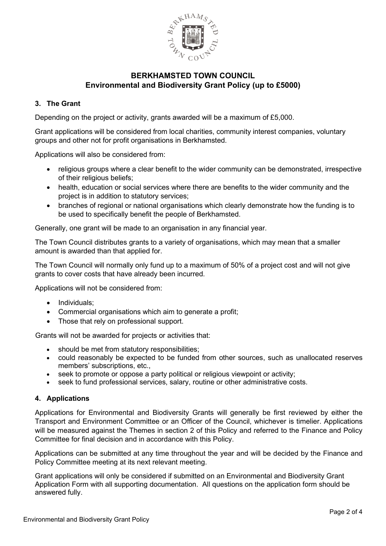

### **3. The Grant**

Depending on the project or activity, grants awarded will be a maximum of £5,000.

Grant applications will be considered from local charities, community interest companies, voluntary groups and other not for profit organisations in Berkhamsted.

Applications will also be considered from:

- religious groups where a clear benefit to the wider community can be demonstrated, irrespective of their religious beliefs;
- health, education or social services where there are benefits to the wider community and the project is in addition to statutory services;
- branches of regional or national organisations which clearly demonstrate how the funding is to be used to specifically benefit the people of Berkhamsted.

Generally, one grant will be made to an organisation in any financial year.

The Town Council distributes grants to a variety of organisations, which may mean that a smaller amount is awarded than that applied for.

The Town Council will normally only fund up to a maximum of 50% of a project cost and will not give grants to cover costs that have already been incurred.

Applications will not be considered from:

- Individuals;
- Commercial organisations which aim to generate a profit;
- Those that rely on professional support.

Grants will not be awarded for projects or activities that:

- should be met from statutory responsibilities;
- could reasonably be expected to be funded from other sources, such as unallocated reserves members' subscriptions, etc.,
- seek to promote or oppose a party political or religious viewpoint or activity;
- seek to fund professional services, salary, routine or other administrative costs.

### **4. Applications**

Applications for Environmental and Biodiversity Grants will generally be first reviewed by either the Transport and Environment Committee or an Officer of the Council, whichever is timelier. Applications will be measured against the Themes in section 2 of this Policy and referred to the Finance and Policy Committee for final decision and in accordance with this Policy.

Applications can be submitted at any time throughout the year and will be decided by the Finance and Policy Committee meeting at its next relevant meeting.

Grant applications will only be considered if submitted on an Environmental and Biodiversity Grant Application Form with all supporting documentation. All questions on the application form should be answered fully.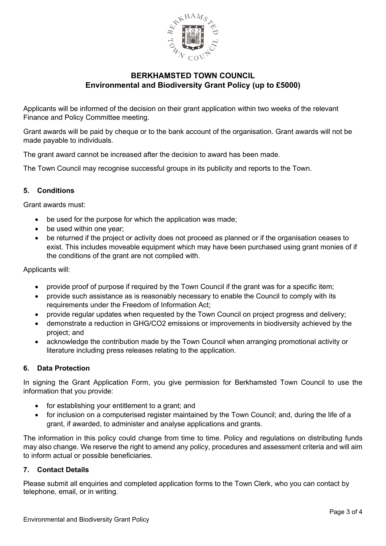

Applicants will be informed of the decision on their grant application within two weeks of the relevant Finance and Policy Committee meeting.

Grant awards will be paid by cheque or to the bank account of the organisation. Grant awards will not be made payable to individuals.

The grant award cannot be increased after the decision to award has been made.

The Town Council may recognise successful groups in its publicity and reports to the Town.

### **5. Conditions**

Grant awards must:

- be used for the purpose for which the application was made;
- be used within one year:
- be returned if the project or activity does not proceed as planned or if the organisation ceases to exist. This includes moveable equipment which may have been purchased using grant monies of if the conditions of the grant are not complied with.

Applicants will:

- provide proof of purpose if required by the Town Council if the grant was for a specific item;
- provide such assistance as is reasonably necessary to enable the Council to comply with its requirements under the Freedom of Information Act;
- provide regular updates when requested by the Town Council on project progress and delivery;
- demonstrate a reduction in GHG/CO2 emissions or improvements in biodiversity achieved by the project; and
- acknowledge the contribution made by the Town Council when arranging promotional activity or literature including press releases relating to the application.

### **6. Data Protection**

In signing the Grant Application Form, you give permission for Berkhamsted Town Council to use the information that you provide:

- for establishing your entitlement to a grant; and
- for inclusion on a computerised register maintained by the Town Council; and, during the life of a grant, if awarded, to administer and analyse applications and grants.

The information in this policy could change from time to time. Policy and regulations on distributing funds may also change. We reserve the right to amend any policy, procedures and assessment criteria and will aim to inform actual or possible beneficiaries.

### **7. Contact Details**

Please submit all enquiries and completed application forms to the Town Clerk, who you can contact by telephone, email, or in writing.